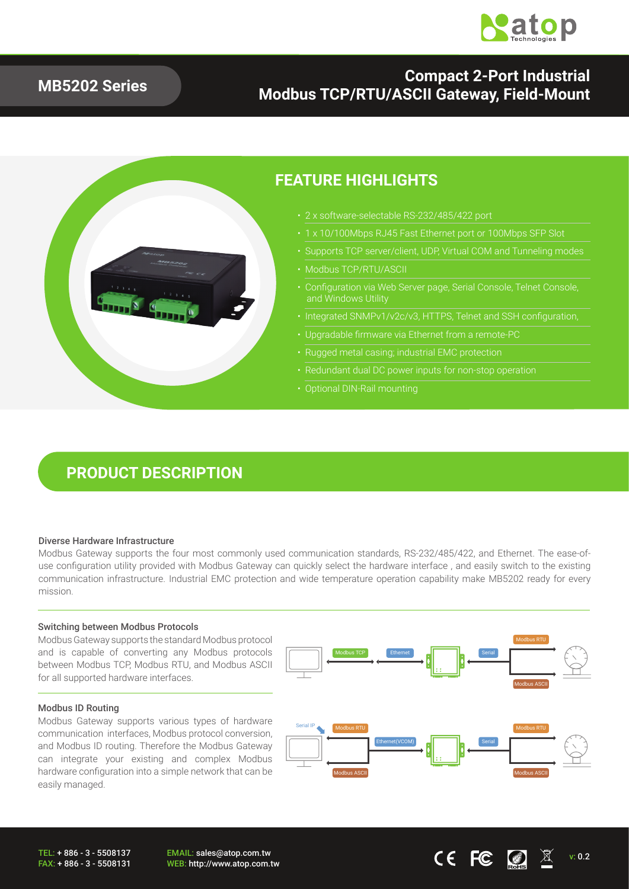

### **MB5202 Series**

### **Compact 2-Port Industrial Modbus TCP/RTU/ASCII Gateway, Field-Mount**



### **FEATURE HIGHLIGHTS**

- 2 x software-selectable RS-232/485/422 port
	-
- Supports TCP server/client, UDP, Virtual COM and Tunneling modes
- Modbus TCP/RTU/ASCII
- Configuration via Web Server page, Serial Console, Telnet Console, and Windows Utility
- Integrated SNMPv1/v2c/v3, HTTPS, Telnet and SSH configuration,
- Upgradable firmware via Ethernet from a remote-PC
- Rugged metal casing; industrial EMC protection
- 
- Optional DIN-Rail mounting

## **PRODUCT DESCRIPTION**

#### Diverse Hardware Infrastructure

Modbus Gateway supports the four most commonly used communication standards, RS-232/485/422, and Ethernet. The ease-ofuse configuration utility provided with Modbus Gateway can quickly select the hardware interface , and easily switch to the existing communication infrastructure. Industrial EMC protection and wide temperature operation capability make MB5202 ready for every mission.

#### Switching between Modbus Protocols

Modbus Gateway supports the standard Modbus protocol and is capable of converting any Modbus protocols between Modbus TCP, Modbus RTU, and Modbus ASCII for all supported hardware interfaces.

#### Modbus ID Routing

Modbus Gateway supports various types of hardware communication interfaces, Modbus protocol conversion, and Modbus ID routing. Therefore the Modbus Gateway can integrate your existing and complex Modbus hardware configuration into a simple network that can be easily managed.



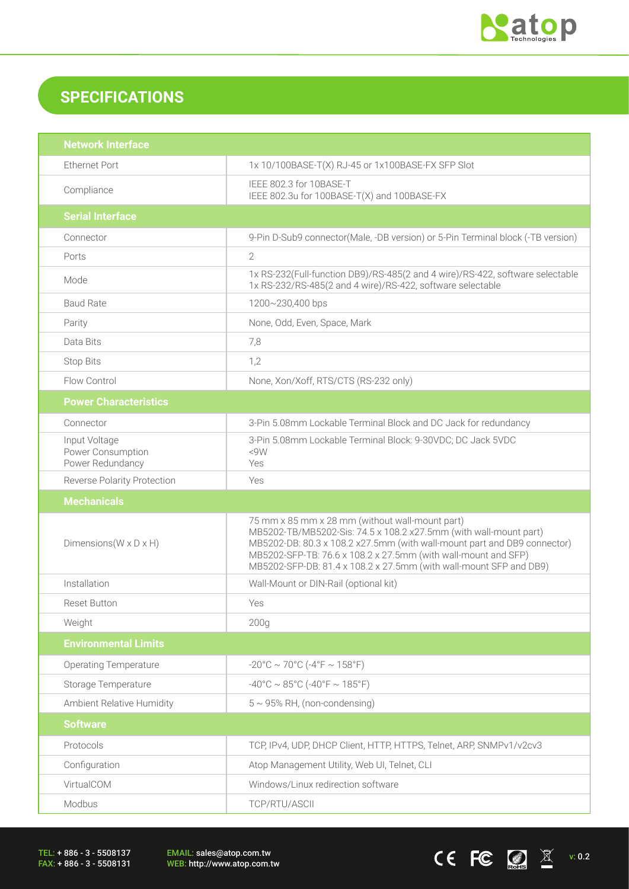

CEFC  $\Box$   $\mathbb{Z}$  v: 0.2

## **SPECIFICATIONS**

| <b>Network Interface</b>                               |                                                                                                                                                                                                                                                                                                                                          |  |
|--------------------------------------------------------|------------------------------------------------------------------------------------------------------------------------------------------------------------------------------------------------------------------------------------------------------------------------------------------------------------------------------------------|--|
| <b>Ethernet Port</b>                                   | 1x 10/100BASE-T(X) RJ-45 or 1x100BASE-FX SFP Slot                                                                                                                                                                                                                                                                                        |  |
| Compliance                                             | IEEE 802.3 for 10BASE-T<br>IEEE 802.3u for 100BASE-T(X) and 100BASE-FX                                                                                                                                                                                                                                                                   |  |
| <b>Serial Interface</b>                                |                                                                                                                                                                                                                                                                                                                                          |  |
| Connector                                              | 9-Pin D-Sub9 connector(Male, -DB version) or 5-Pin Terminal block (-TB version)                                                                                                                                                                                                                                                          |  |
| Ports                                                  | $\overline{2}$                                                                                                                                                                                                                                                                                                                           |  |
| Mode                                                   | 1x RS-232(Full-function DB9)/RS-485(2 and 4 wire)/RS-422, software selectable<br>1x RS-232/RS-485(2 and 4 wire)/RS-422, software selectable                                                                                                                                                                                              |  |
| <b>Baud Rate</b>                                       | 1200~230,400 bps                                                                                                                                                                                                                                                                                                                         |  |
| Parity                                                 | None, Odd, Even, Space, Mark                                                                                                                                                                                                                                                                                                             |  |
| Data Bits                                              | 7,8                                                                                                                                                                                                                                                                                                                                      |  |
| <b>Stop Bits</b>                                       | 1,2                                                                                                                                                                                                                                                                                                                                      |  |
| Flow Control                                           | None, Xon/Xoff, RTS/CTS (RS-232 only)                                                                                                                                                                                                                                                                                                    |  |
| <b>Power Characteristics</b>                           |                                                                                                                                                                                                                                                                                                                                          |  |
| Connector                                              | 3-Pin 5.08mm Lockable Terminal Block and DC Jack for redundancy                                                                                                                                                                                                                                                                          |  |
| Input Voltage<br>Power Consumption<br>Power Redundancy | 3-Pin 5.08mm Lockable Terminal Block: 9-30VDC; DC Jack 5VDC<br><9W<br>Yes                                                                                                                                                                                                                                                                |  |
| <b>Reverse Polarity Protection</b>                     | Yes                                                                                                                                                                                                                                                                                                                                      |  |
|                                                        |                                                                                                                                                                                                                                                                                                                                          |  |
| <b>Mechanicals</b>                                     |                                                                                                                                                                                                                                                                                                                                          |  |
| Dimensions ( $W \times D \times H$ )                   | 75 mm x 85 mm x 28 mm (without wall-mount part)<br>MB5202-TB/MB5202-Sis: 74.5 x 108.2 x27.5mm (with wall-mount part)<br>MB5202-DB: 80.3 x 108.2 x27.5mm (with wall-mount part and DB9 connector)<br>MB5202-SFP-TB: 76.6 x 108.2 x 27.5mm (with wall-mount and SFP)<br>MB5202-SFP-DB: 81.4 x 108.2 x 27.5mm (with wall-mount SFP and DB9) |  |
| Installation                                           | Wall-Mount or DIN-Rail (optional kit)                                                                                                                                                                                                                                                                                                    |  |
| <b>Reset Button</b>                                    | Yes                                                                                                                                                                                                                                                                                                                                      |  |
| Weight                                                 | 200 <sub>g</sub>                                                                                                                                                                                                                                                                                                                         |  |
| <b>Environmental Limits</b>                            |                                                                                                                                                                                                                                                                                                                                          |  |
| <b>Operating Temperature</b>                           | $-20^{\circ}$ C ~ 70°C ( $-4^{\circ}$ F ~ 158°F)                                                                                                                                                                                                                                                                                         |  |
| Storage Temperature                                    | $-40^{\circ}$ C ~ 85°C (-40°F ~ 185°F)                                                                                                                                                                                                                                                                                                   |  |
| Ambient Relative Humidity                              | $5 \sim 95\%$ RH, (non-condensing)                                                                                                                                                                                                                                                                                                       |  |
| <b>Software</b>                                        |                                                                                                                                                                                                                                                                                                                                          |  |
| Protocols                                              | TCP, IPv4, UDP, DHCP Client, HTTP, HTTPS, Telnet, ARP, SNMPv1/v2cv3                                                                                                                                                                                                                                                                      |  |
| Configuration                                          | Atop Management Utility, Web UI, Telnet, CLI                                                                                                                                                                                                                                                                                             |  |
| VirtualCOM                                             | Windows/Linux redirection software                                                                                                                                                                                                                                                                                                       |  |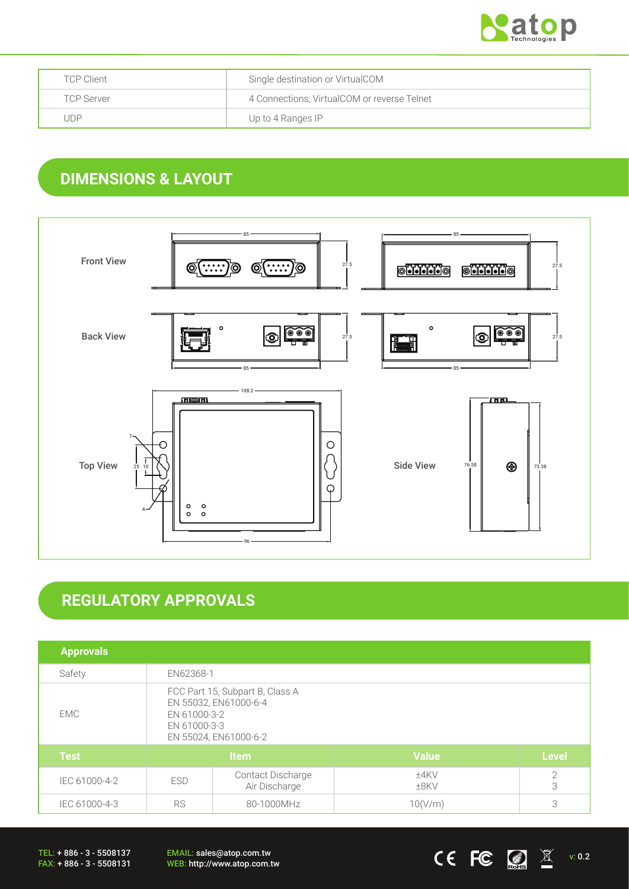

| <b>TCP Client</b> | Single destination or VirtualCOM            |
|-------------------|---------------------------------------------|
| <b>TCP Server</b> | 4 Connections; VirtualCOM or reverse Telnet |
| . JDP             | Up to 4 Ranges IP                           |

## **DIMENSIONS & LAYOUT**



# **REGULATORY APPROVALS**

| <b>Approvals</b> |                                                                                                                   |                                    |                 |                 |
|------------------|-------------------------------------------------------------------------------------------------------------------|------------------------------------|-----------------|-----------------|
| Safety           | EN62368-1                                                                                                         |                                    |                 |                 |
| EMC              | FCC Part 15, Subpart B, Class A<br>EN 55032, EN61000-6-4<br>EN 61000-3-2<br>EN 61000-3-3<br>EN 55024, EN61000-6-2 |                                    |                 |                 |
| <b>Test</b>      | Item                                                                                                              |                                    | <b>Value</b>    | <b>Level</b>    |
| IEC 61000-4-2    | <b>ESD</b>                                                                                                        | Contact Discharge<br>Air Discharge | ±4KV<br>$±8$ KV | $\sqrt{2}$<br>3 |
| IEC 61000-4-3    | <b>RS</b><br>80-1000MHz                                                                                           |                                    | 10(V/m)         | 3               |